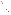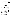# **THE ENVIRONMENTAL TECHNOLOGY VERIFICATION PROGRAM**







# **ETV Joint Verification Statement**

| <b>TECHNOLOGY TYPE:</b> | <b>ENVIRONMENTAL DECISION SUPPORT SOFTWARE</b>                                                    |                       |
|-------------------------|---------------------------------------------------------------------------------------------------|-----------------------|
| <b>APPLICATION:</b>     | <b>INTEGRATION AND VISUALIZATION OF ENVIRONMENTAL</b><br><b>DATA SETS</b>                         |                       |
| <b>TECHNOLOGY NAME:</b> | ArcView GIS Version 3.1 using ArcView Spatial Analyst and<br><b>ArcView 3D Analyst extensions</b> |                       |
| <b>COMPANY:</b>         | <b>Environmental Systems Research Institute</b>                                                   |                       |
| <b>ADDRESS:</b>         | <b>380 New York Street</b><br>Redlands, CA 92373-8100                                             | PHONE: (714) 379-7000 |
| <b>WEBSITE:</b>         | www.esri.com                                                                                      |                       |

The U.S. Environmental Protection Agency (EPA) has created the Environmental Technology Verification Program (ETV) to facilitate the deployment of innovative or improved environmental technologies through performance verification and dissemination of information. The goal of the ETV Program is to further environmental protection by substantially accelerating the acceptance and use of improved and cost-effective technologies. ETV seeks to achieve this goal by providing high-quality, peer-reviewed data on technology performance to those involved in the design, distribution, financing, permitting, purchase, and use of environmental technologies.

ETV works in partnership with recognized standards and testing organizations and stakeholder groups consisting of regulators, buyers, and vendor organizations, with the full participation of individual technology developers. The program evaluates the performance of innovative technologies by developing test plans that are responsive to the needs of stakeholders, conducting field or laboratory tests (as appropriate), collecting and analyzing data, and preparing peer-reviewed reports. All evaluations are conducted in accordance with rigorous quality assurance protocols to ensure that data of known and adequate quality are generated and that the results are defensible.

The Site Characterization and Monitoring Technologies Pilot, one of 12 technology areas under ETV, is administered by EPA's National Exposure Research Laboratory (NERL). With the support of the U.S. Department of Energy's Environmental Management program, NERL selected a team from Brookhaven National Laboratory (BNL) and Oak Ridge National Laboratory to perform the verification of environmental decision support software. This verification statement provides a summary of the test results of a demonstration of Environmental Systems Research Institute's (ESRI's) ArcView® environmental decision support software (DSS) and its extensions ArcView Spatial Analyst<sup>®</sup> and 3D Analyst™.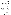### **DEMONSTRATION DESCRIPTION**

In September 1998, the performance of five DSS products was evaluated at the New Mexico Engineering Research Institute located in Albuquerque, New Mexico. In October 1998, a sixth DSS product was tested at BNL in Upton, New York. Each technology was independently evaluated by comparing its analysis results with measured field data and, in some cases, known analytical solutions to the problem.

Depending on the software, each was assessed for its ability to evaluate one or more of the following endpoints of environmental contamination problems: visualization, sample optimization, and cost-benefit analysis. The capabilities of the DSS were evaluated in the following areas: (1) the effectiveness of integrating data and models to produce information that supports the decision, and (2) the information and approach used to support the analysis. Secondary evaluation objectives were to examine the DSS for its reliability, resource requirements, range of applicability, and ease of operation. The verification study focused on the developers' analysis of multiple test problems with different levels of complexity. Each developer analyzed a minimum of three test problems. These test problems, generated mostly from actual environmental data from six real remediation sites, were identified as Sites A, B, D, N, S, and T. The use of real data challenged the software systems because of the variability in natural systems. The technical evaluation team performed a complete baseline analysis for each problem. These results, along with the data were used as a baseline for comparison with the DSS results.

ESRI staff used ArcView GIS Version 3.1 and its Spatial Analyst and 3D Analyst extensions to perform the visualization endpoint using data from Sites A, B, and N. The Site A test problem, a threedimensional groundwater cost-benefit problem, required an analysis of remediation volume as a function of cleanup levels for two volatile organic compounds (perchloroethene and trichloroethane). Data were supplied at a series of wells for one representative period. Within each well, data were collected on a 5-ft vertical spacing from the top of the water table to the confining bedrock. The Site B test problem was a two-dimensional groundwater contamination sample optimization problem for three contaminants (trichloroethene, vinyl chloride, and technetium-99). Developers were provided with a series of wells containing contaminant concentrations and were asked to specify additional locations in which to collect more data to better define the nature and extent of contamination. The Site N test problem was a twodimensional soil contamination cost-benefit problem. This problem included three heavy metal contaminants (arsenic, cadmium, and chromium). The objective was to define the cost (area) of remediation as a function of two cleanup levels for each contaminant.

The intent of the ArcView analyses was to demonstrate the capability to integrate large quantities of data into a visual framework to assist in understanding a site's contamination problem. For the Site N analysis, ArcView was used to estimate the area and costs associated with cleanup to different threshold levels. Sample optimization components of the test problems were not performed.

Details of the demonstration, including an evaluation of the software's performance, may be found in the report entitled *Environmental Technology Verification Report: Environmental Systems Research Institute, ArcView GIS Version 3.1 using ArcView Spatial Analyst and ArcView 3D Analyst Extensions,*  EPA/600/R-99/094.

# **TECHNOLOGY DESCRIPTION**

ArcView GIS version 3.1 is a geographic information system (GIS). One function of the software is to help environmental professionals quickly and comprehensively characterize, manage, and visualize information relevant to understanding environmental contamination problems. The ArcView GIS integrates common database operations, such as query and statistical analysis, with the visualization and geographic analysis benefits offered by maps. The Spatial Analyst extension was developed to solve problems requiring that distance or other continuous surface modeling information be considered as part of the analysis. The 3D Analyst extension permits the creation of three-dimensional surface models and

ii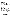assists users with three primary tasks—surface model construction, analysis, and display. ArcView and its extensions operate on Windows 95, 98, and NT platforms.

#### **VERIFICATION OF PERFORMANCE**

The following performance characteristics of ArcView GIS Version 3.1 and its extensions Spatial Analyst and 3D Analyst were observed:

*Decision Support:* ArcView GIS version 3.1 was able to quickly import data on contaminant concentrations, geologic structure, and surface structure from a variety of sources with different formats and integrate this information on a single platform. It was able to place the information in a visual context that supports data interpretation.

*Documentation of the ArcView Analysis:* ArcView generated reports that provided an adequate explanation of the process and parameters used to analyze each problem. Documentation of data transfer, manipulation of the data (e.g., how to treat contamination data as a function of depth in a well), and analyses were included. Model selection and parameters for contouring were also provided in the exportable documentation. ArcView generated graphical output in . jpg format and incorporated this directly into a Microsoft Word file.

*Comparison with Baseline Analysis and Data:* ArcView generated hydraulic head, ground surface elevation, bedrock elevation, and contaminant concentration maps. The maps ranged from posting of a marker at each data location, in which the size was proportional to the value of the parameter being represented (e.g., contamination level), to generation of concentration contours. Comparison of the contours of concentration and hydraulic head with the data and the baseline analysis showed that ArcView results were consistent with the measured values. ArcView accurately mapped wells, buildings, and site features. It accurately posted data to sample locations and hot-linked data to well locations. The Site N cost-benefit analysis performed using ArcView estimated the volume of contamination and the cost of remediation and was found to be consistent with the data and baseline analysis.

*Multiple Lines of Reasoning:* ESRI staff used ArcView, Spatial Analyst, and 3D Analyst to provide multiple interpretations of the data with different contouring algorithms and contouring parameters. The best fit to the data was provided for review. The multiple representations of the data permitted a better understanding of the extent of the contamination problem.

In addition to performance criteria, the following secondary criteria were evaluated.

*Ease of Use:* The demonstration showed that the basic features in ArcView were easy to use. An analyst with a background in environmental problems and a basic knowledge of database and GIS operations can use ArcView after one to two days of training. The ArcView platform has a graphical user interface with a logical menu structure to permit use of the options in the software package. ArcView supports data queries that permit evaluation of the data based on user-defined criteria, for example, using only trichloroethene data collected in 1999 for contouring. This query capability is a powerful data analysis tool. ArcView was demonstrated to accept a wide range of formats when importing data (e.g., database files, drawing files in .shp and .jpg formats) and can export files using a large number of formats. Use of advanced features, such as the Avenue scripting language, would require additional training and regular use.

*Efficiency and Representativeness:* ESRI staff completed three visualization problems and generated the report documenting the analysis with 12 person-days of effort. ArcView has a flexible database structure that supports multiple data input formats. This provides a platform that addresses problems efficiently and can be tailored to the problem under study. ArcView permits queries on any field (e.g., chemical

iii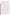name, date, concentration, well identifiers) and also permits filtering (e.g., include only data between certain dates, maximum concentration at a location over a range of sample dates). The software has the capability to evaluate a wide range of environmental conditions (e.g., contaminant in groundwater, soil, multiple contaminants on a single site).

*Training and Technical Support:* ArcView offers several options for training and technical support. A detailed on-line help system is supplied with the software package, and a user's manual is available to assist in operation of the software. A step-by-step tutorial that covers the major features is provided with the software package. A one-day training course is available if desired. Technical support is available for a yearly maintenance fee.

*Operator Skill Base:* To use ArcView efficiently, the operator should have a basic understanding of the use of computer software in analyzing environmental problems. This includes fundamental knowledge about GIS and relational database files. In addition, knowledge about contouring environmental data sets is beneficial.

*Platform:* ArcView was demonstrated on a Windows NT 4.0 operating system. It requires a minimum of 128 megabytes (MB) of random access memory (RAM). During the demonstration, two machines were used. For Sites B and N, a 233-MHz Pentium II laptop with 128 MB of RAM, a 5-gigabyte hard drive and standard 1024×768 video monitor was used. The laptop was equipped with an internal CD drive, a 1-gigabyte Jazz drive, and a PCMCIA network adapter. For the Site A analysis, the computer contained a 300-MHz Pentium II processor with 128 MB of RAM and an Elsa Gloria XLM graphics card with 16 MB of video RAM and an Open GL chipset. This computer was equipped with an internal CD drive, a 1-gigabyte Jazz drive, an internal network adapter, and a 19-in. monitor.

*Cost:* Pricing varies for single stand-alone systems through enterprise-wide systems. Currently, the government price for the Windows version of a single stand-alone system of ArcView GIS Version 3.1 is \$996; for Spatial Analyst and 3D Analyst, the Government Services Administration price is \$2342 each. Prices for these products for private industry or for use on a UNIX-based operating system are slightly higher.

*Overall Evaluations:* The main strength of ArcView, Spatial Analyst, and 3D Analyst is their ability to easily integrate data and maps in a single platform to allow spatial visualization of the data. The visualization output was clear and easy to understand. The ability to sort and query data makes examination of a subset of the data easy to perform. ArcView's ability to manage data files from a wide range of sources makes it suitable for managing complex environmental contamination problems. The ease of use makes ArcView and its extensions accessible for the occasional user who wants to view the spatial correlation between data. For the more advanced user, the scripting language, Avenue, makes the ArcView products extremely flexible and customizable for problem-specific applications. ArcView is a mature product with a large customer base.

The technical team concluded that for visualization of environmental data sets, there were no major limitations in the ArcView set of programs. Minor problems noticed by the technical team included the inability to open some of the project files provided at the demonstration and, for a new user, the need to learn the terminology to understand the operation of ArcView (e.g., "scenes", "themes", "program files").

The credibility of a computer analysis of environmental problems depends on good data, reliable and appropriate software, adequate conceptualization of the site, and a technically defensible problem analysis. The results of the demonstration show that the ArcView software can be used to generate reliable and useful analyses for evaluating environmental contamination problems. This is the only component of a credible analysis that can be addressed by the software. The results of an ArcView

iv